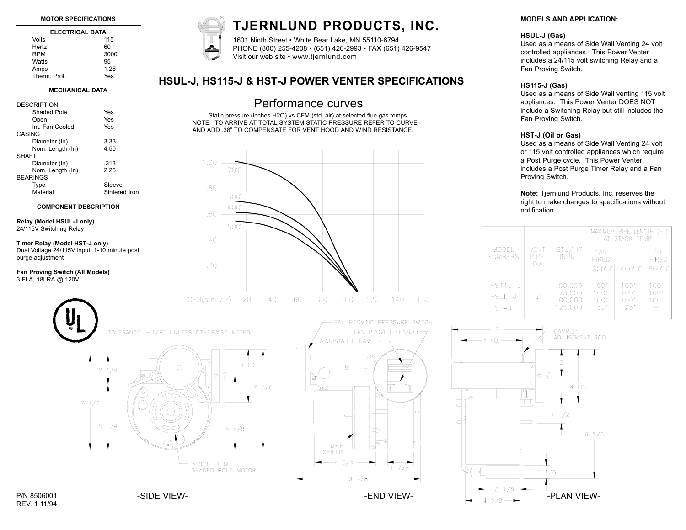| <b>MOTOR SPECIFICATIONS</b>                  |                 | TJERNLUND PRODUCTS, INC.                                                   |                             |
|----------------------------------------------|-----------------|----------------------------------------------------------------------------|-----------------------------|
| <b>ELECTRICAL DATA</b>                       |                 |                                                                            |                             |
| Volts                                        | 115             | 1601 Ninth Street . White Bear Lake, MN 55110-6794                         |                             |
| Hertz                                        | 60              | PHONE (800) 255-4208 · (651) 426-2993 · FAX (651) 426-9547                 |                             |
| <b>RPM</b>                                   | 3000            | Visit our web site • www.tjernlund.com                                     |                             |
| Watts                                        | 95              |                                                                            |                             |
| Amps                                         | 1.26            |                                                                            |                             |
| Therm. Prot.                                 | Yes             |                                                                            |                             |
|                                              |                 | HSUL-J, HS115-J & HST-J POWER VENTER SPECIFICATIONS                        |                             |
| <b>MECHANICAL DATA</b>                       |                 |                                                                            |                             |
| <b>DESCRIPTION</b>                           |                 | Performance curves                                                         |                             |
| Shaded Pole                                  | Yes             |                                                                            |                             |
| Open                                         | Yes             | Static pressure (inches H2O) vs CFM (std. air) at selected flue gas temps. |                             |
|                                              |                 | NOTE: TO ARRIVE AT TOTAL SYSTEM STATIC PRESSURE REFER TO CURVE             |                             |
| Int. Fan Cooled<br>CASING                    | Yes             | AND ADD .38" TO COMPENSATE FOR VENT HOOD AND WIND RESISTANCE.              |                             |
| Diameter (In)                                | 3.33            |                                                                            |                             |
| Nom. Length (In)                             | 4.50            |                                                                            |                             |
| <b>SHAFT</b>                                 |                 |                                                                            |                             |
|                                              |                 | 1.00                                                                       |                             |
| Diameter (In)                                | .313            |                                                                            |                             |
| Nom. Length (In)                             | 2.25            | $70^{\circ}$ F                                                             |                             |
| <b>BEARINGS</b>                              |                 |                                                                            |                             |
| Type                                         | Sleeve          |                                                                            |                             |
| Material                                     | Sintered Iron   | .80                                                                        |                             |
|                                              |                 | 300°F                                                                      |                             |
| <b>COMPONENT DESCRIPTION</b>                 |                 | 400°F                                                                      |                             |
|                                              |                 | .60                                                                        |                             |
|                                              |                 |                                                                            |                             |
| Relay (Model HSUL-J only)                    |                 | 500°F                                                                      |                             |
| 24/115V Switching Relay                      |                 |                                                                            |                             |
|                                              |                 | .40                                                                        |                             |
| Timer Relay (Model HST-J only)               |                 |                                                                            |                             |
| Dual Voltage 24/115V input, 1-10 minute post |                 |                                                                            |                             |
| purge adjustment                             |                 |                                                                            |                             |
|                                              |                 | .20                                                                        |                             |
|                                              |                 |                                                                            |                             |
| Fan Proving Switch (All Models)              |                 |                                                                            |                             |
| 3 FLA, 18LRA @ 120V                          |                 |                                                                            |                             |
|                                              |                 |                                                                            |                             |
|                                              |                 | CFM(std alr)<br>20<br>40<br>60.<br>80<br>100<br>120                        | 140<br>160                  |
|                                              |                 |                                                                            |                             |
|                                              |                 |                                                                            | FAN PROVING PRESSURE SWITCH |
|                                              |                 | TOLERANCE: ±1/8" UNLESS OTHERWISE NOTED                                    | FAN PROVER SENSOR           |
|                                              |                 | ADJUSTABLE DAMPER -                                                        |                             |
|                                              |                 |                                                                            |                             |
|                                              |                 |                                                                            |                             |
|                                              |                 | $4$ I.D.                                                                   |                             |
|                                              | $2 \frac{1}{4}$ | $\circ$<br>$\odot$<br>$\circ$                                              |                             |
|                                              | е               | o<br>Θ                                                                     |                             |
|                                              |                 |                                                                            |                             |
|                                              |                 | $7\frac{5}{8}$<br>zat,                                                     |                             |
|                                              | ″∘.             | 62<br>$\circ$                                                              |                             |
|                                              |                 |                                                                            |                             |
| 71/2                                         |                 |                                                                            |                             |
|                                              |                 |                                                                            | O                           |
|                                              |                 |                                                                            |                             |
|                                              | $5 \frac{1}{4}$ |                                                                            |                             |
|                                              |                 | $5\;\;5/8$                                                                 |                             |
|                                              |                 |                                                                            |                             |
|                                              |                 | $\circ$                                                                    |                             |
|                                              |                 | DRIP<br>SHIELD                                                             |                             |
|                                              |                 |                                                                            |                             |
|                                              |                 | -43/4<br>3,000 R.P.M.                                                      |                             |



### **MODELS AND APPLICATION:**

#### **HSUL-J (Gas)**

Used as a means of Side Wall Venting 24 volt controlled appliances. This Power Venter includes a 24/115 volt switching Relay and a Fan Proving Switch.

#### **HS115-J (Gas)**

Used as a means of Side Wall venting 115 volt appliances. This Power Venter DOES NOT include a Switching Relay but still includes the Fan Proving Switch.

#### **HST-J (Oil or Gas)**

Used as a means of Side Wall Venting 24 volt or 115 volt controlled appliances which require a Post Purge cycle. This Power Venter includes a Post Purge Timer Relay and a Fan Proving Switch.

**Note:** Tjernlund Products, Inc. reserves the right to make changes to specifications without notification.

|                         |                      |                        | MAXIMUM PIPE LENGTH (FT)<br>AT STACK TEMP |                 |                 |
|-------------------------|----------------------|------------------------|-------------------------------------------|-----------------|-----------------|
| MODEL<br><b>NUMBERS</b> | <b>VENT</b><br>PIPE. | BTU/HR<br><b>INPUT</b> | GAS<br><b>FIRED</b>                       |                 | OIL<br>FIRED    |
|                         | DIA.                 |                        | 300° FI                                   | $400^{\circ}$ F | $500^{\circ}$ F |
| $HS115 - J$             |                      | 50,000                 | 100'                                      | 100'            | 100'            |
| $HSUL-J$                | 4"                   | 75,000<br>100,000      | 100'<br>100'                              | 100'<br>100'    | 100'<br>100'    |
| $HST-J$                 |                      | 125.000                | 35'                                       | 23'             |                 |
|                         |                      |                        |                                           |                 |                 |



REV. 1 11/94

SHADED POLE MOTOR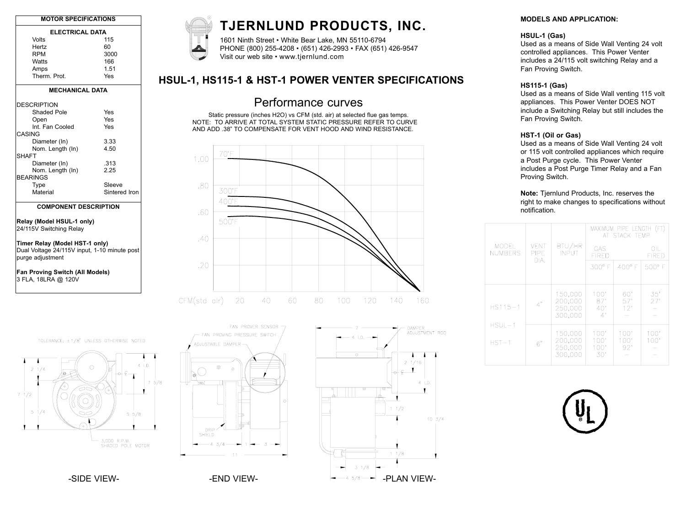| <b>MOTOR SPECIFICATIONS</b> |      |  |  |  |
|-----------------------------|------|--|--|--|
| <b>ELECTRICAL DATA</b>      |      |  |  |  |
| Volts                       | 115  |  |  |  |
| Hertz                       | 60   |  |  |  |
| <b>RPM</b>                  | 3000 |  |  |  |
| Watts                       | 166  |  |  |  |
| Amps                        | 1.51 |  |  |  |

Therm. Prot. Yes

#### **MECHANICAL DATA**

| <b>DESCRIPTION</b><br>Shaded Pole | Yes           |
|-----------------------------------|---------------|
|                                   |               |
| Open                              | Yes           |
| Int Fan Cooled                    | Yes           |
| CASING                            |               |
| Diameter (In)                     | 3.33          |
| Nom. Length (In)                  | 4.50          |
| <b>SHAFT</b>                      |               |
| Diameter (In)                     | .313          |
| Nom. Length (In)                  | 2.25          |
| <b>BEARINGS</b>                   |               |
| Type                              | Sleeve        |
| Material                          | Sintered Iron |
|                                   |               |

#### **COMPONENT DESCRIPTION**

#### **Relay (Model HSUL-1 only)** 24/115V Switching Relay

**Timer Relay (Model HST-1 only)** Dual Voltage 24/115V input, 1-10 minute post purge adjustment

**Fan Proving Switch (All Models)** 3 FLA, 18LRA @ 120V



# **TJERNLUND PRODUCTS, INC.**

1601 Ninth Street • White Bear Lake, MN 55110-6794 PHONE (800) 255-4208 • (651) 426-2993 • FAX (651) 426-9547 Visit our web site • www.tjernlund.com

## **HSUL-1, HS115-1 & HST-1 POWER VENTER SPECIFICATIONS**

# Performance curves

Static pressure (inches H2O) vs CFM (std. air) at selected flue gas temps. NOTE: TO ARRIVE AT TOTAL SYSTEM STATIC PRESSURE REFER TO CURVE AND ADD .38" TO COMPENSATE FOR VENT HOOD AND WIND RESISTANCE.



#### TOLERANCE: ±1/8" UNLESS OTHERWISE NOTED









#### **MODELS AND APPLICATION:**

#### **HSUL-1 (Gas)**

Used as a means of Side Wall Venting 24 volt controlled appliances. This Power Venter includes a 24/115 volt switching Relay and a Fan Proving Switch.

#### **HS115-1 (Gas)**

Used as a means of Side Wall venting 115 volt appliances. This Power Venter DOES NOT include a Switching Relay but still includes the Fan Proving Switch.

#### **HST-1 (Oil or Gas)**

Used as a means of Side Wall Venting 24 volt or 115 volt controlled appliances which require a Post Purge cycle. This Power Venter includes a Post Purge Timer Relay and a Fan Proving Switch.

**Note:** Tjernlund Products, Inc. reserves the right to make changes to specifications without notification.

|  |                                    |                                    |                                          | MAXIMUM PIPE LENGTH (FT)<br>AT STACK TEMP |                     |                     |
|--|------------------------------------|------------------------------------|------------------------------------------|-------------------------------------------|---------------------|---------------------|
|  | MODEL<br><b>NUMBERS</b>            | <b>VENT</b><br><b>PIPF</b><br>DIA. | BTU/HR<br><b>INPUT</b>                   | GAS<br><b>FIRFD</b>                       |                     | OIL<br><b>FIRFD</b> |
|  |                                    |                                    |                                          | 300° F                                    | $400^{\circ}$ F     | 500° F              |
|  | $HS115-1$<br>$HSUI - 1$<br>$HST-1$ | 4"                                 | 150,000<br>200.000<br>250,000<br>300.000 | 100'<br>87'<br>40'<br>4'                  | 60'<br>57'<br>12'   | 35'<br>27'          |
|  |                                    | 6"                                 | 150,000<br>200,000<br>250,000<br>300.000 | 100'<br>100'<br>100'<br>30'               | 100'<br>100'<br>92' | 100'<br>100'        |